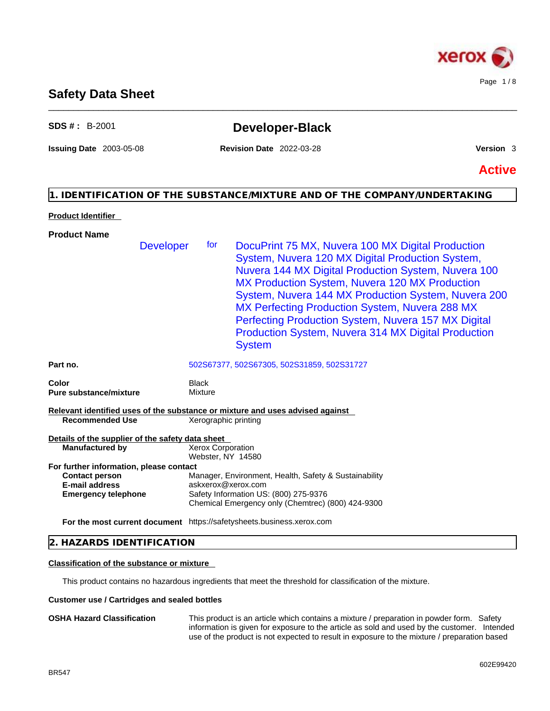

# **Safety Data Sheet**

# **SDS # :** B-2001 **Developer-Black**

\_\_\_\_\_\_\_\_\_\_\_\_\_\_\_\_\_\_\_\_\_\_\_\_\_\_\_\_\_\_\_\_\_\_\_\_\_\_\_\_\_\_\_\_\_\_\_\_\_\_\_\_\_\_\_\_\_\_\_\_\_\_\_\_\_\_\_\_\_\_\_\_\_\_\_\_\_\_\_\_\_\_\_\_\_\_\_\_\_\_\_\_\_\_

**Issuing Date** 2003-05-08 **Revision Date** 2022-03-28 **Version** 3

**Active**

# **1. IDENTIFICATION OF THE SUBSTANCE/MIXTURE AND OF THE COMPANY/UNDERTAKING**

### **Product Identifier**

| <b>Product Name</b>                                                     |                                                                                                                                                                                                                                                                                                                                                                                                                                                                      |  |
|-------------------------------------------------------------------------|----------------------------------------------------------------------------------------------------------------------------------------------------------------------------------------------------------------------------------------------------------------------------------------------------------------------------------------------------------------------------------------------------------------------------------------------------------------------|--|
| <b>Developer</b>                                                        | DocuPrint 75 MX, Nuvera 100 MX Digital Production<br>for<br>System, Nuvera 120 MX Digital Production System,<br>Nuvera 144 MX Digital Production System, Nuvera 100<br>MX Production System, Nuvera 120 MX Production<br>System, Nuvera 144 MX Production System, Nuvera 200<br>MX Perfecting Production System, Nuvera 288 MX<br>Perfecting Production System, Nuvera 157 MX Digital<br><b>Production System, Nuvera 314 MX Digital Production</b><br><b>System</b> |  |
| Part no.                                                                | 502S67377, 502S67305, 502S31859, 502S31727                                                                                                                                                                                                                                                                                                                                                                                                                           |  |
| Color                                                                   | <b>Black</b>                                                                                                                                                                                                                                                                                                                                                                                                                                                         |  |
| <b>Pure substance/mixture</b>                                           | Mixture                                                                                                                                                                                                                                                                                                                                                                                                                                                              |  |
|                                                                         | Relevant identified uses of the substance or mixture and uses advised against                                                                                                                                                                                                                                                                                                                                                                                        |  |
| <b>Recommended Use</b>                                                  | Xerographic printing                                                                                                                                                                                                                                                                                                                                                                                                                                                 |  |
| Details of the supplier of the safety data sheet                        |                                                                                                                                                                                                                                                                                                                                                                                                                                                                      |  |
| <b>Xerox Corporation</b><br><b>Manufactured by</b><br>Webster, NY 14580 |                                                                                                                                                                                                                                                                                                                                                                                                                                                                      |  |
| For further information, please contact                                 |                                                                                                                                                                                                                                                                                                                                                                                                                                                                      |  |
| <b>Contact person</b>                                                   | Manager, Environment, Health, Safety & Sustainability                                                                                                                                                                                                                                                                                                                                                                                                                |  |
| <b>E-mail address</b>                                                   | askxerox@xerox.com                                                                                                                                                                                                                                                                                                                                                                                                                                                   |  |
| <b>Emergency telephone</b>                                              | Safety Information US: (800) 275-9376<br>Chemical Emergency only (Chemtrec) (800) 424-9300                                                                                                                                                                                                                                                                                                                                                                           |  |
|                                                                         | For the most current document https://safetysheets.business.xerox.com                                                                                                                                                                                                                                                                                                                                                                                                |  |
|                                                                         |                                                                                                                                                                                                                                                                                                                                                                                                                                                                      |  |

# **2. HAZARDS IDENTIFICATION**

#### **Classification of the substance or mixture**

This product contains no hazardous ingredients that meet the threshold for classification of the mixture.

#### **Customer use / Cartridges and sealed bottles**

**OSHA Hazard Classification** This product is an article which contains a mixture / preparation in powder form. Safety information is given for exposure to the article as sold and used by the customer. Intended use of the product is not expected to result in exposure to the mixture / preparation based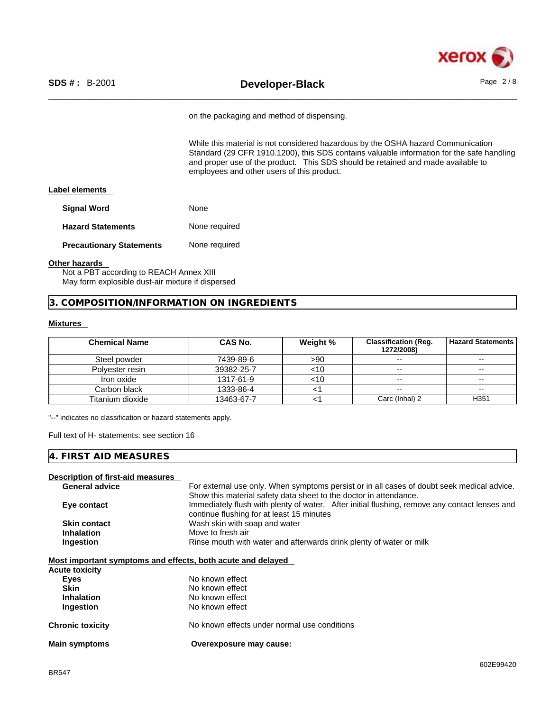

on the packaging and method of dispensing.

While this material is not considered hazardous by the OSHA hazard Communication Standard (29 CFR 1910.1200), this SDS contains valuable information for the safe handling and proper use of the product. This SDS should be retained and made available to employees and other users of this product.

#### **Label elements**

| <b>Signal Word</b>              | None          |
|---------------------------------|---------------|
| <b>Hazard Statements</b>        | None required |
| <b>Precautionary Statements</b> | None required |

#### **Other hazards**

Not a PBT according to REACH Annex XIII May form explosible dust-air mixture if dispersed

### **3. COMPOSITION/INFORMATION ON INGREDIENTS**

#### **Mixtures**

| <b>Chemical Name</b> | <b>CAS No.</b> | Weight % | <b>Classification (Req.</b><br>1272/2008) | Hazard Statements        |
|----------------------|----------------|----------|-------------------------------------------|--------------------------|
| Steel powder         | 7439-89-6      | >90      | $\sim$                                    | $\overline{\phantom{m}}$ |
| Polyester resin      | 39382-25-7     | <10      | $\sim$                                    | $\overline{\phantom{m}}$ |
| Iron oxide           | 1317-61-9      | <10      | $-$                                       | $\overline{\phantom{m}}$ |
| Carbon black         | 1333-86-4      |          | $\overline{\phantom{a}}$                  | $\sim$                   |
| Titanium dioxide     | 13463-67-7     |          | Carc (Inhal) 2                            | H <sub>351</sub>         |

"--" indicates no classification or hazard statements apply.

Full text of H- statements: see section 16

#### **4. FIRST AID MEASURES**

**Description of first-aid measures**

| Describilon of hist-ald ineasures                           |                                                                                               |
|-------------------------------------------------------------|-----------------------------------------------------------------------------------------------|
| <b>General advice</b>                                       | For external use only. When symptoms persist or in all cases of doubt seek medical advice.    |
|                                                             | Show this material safety data sheet to the doctor in attendance.                             |
| Eye contact                                                 | Immediately flush with plenty of water. After initial flushing, remove any contact lenses and |
|                                                             | continue flushing for at least 15 minutes                                                     |
| <b>Skin contact</b>                                         | Wash skin with soap and water                                                                 |
| <b>Inhalation</b>                                           | Move to fresh air                                                                             |
| <b>Ingestion</b>                                            | Rinse mouth with water and afterwards drink plenty of water or milk                           |
|                                                             |                                                                                               |
| Most important symptoms and effects, both acute and delayed |                                                                                               |
| Acute toxicity                                              |                                                                                               |
|                                                             |                                                                                               |

| No known effects under normal use conditions |
|----------------------------------------------|
|                                              |
|                                              |
|                                              |
|                                              |
|                                              |
|                                              |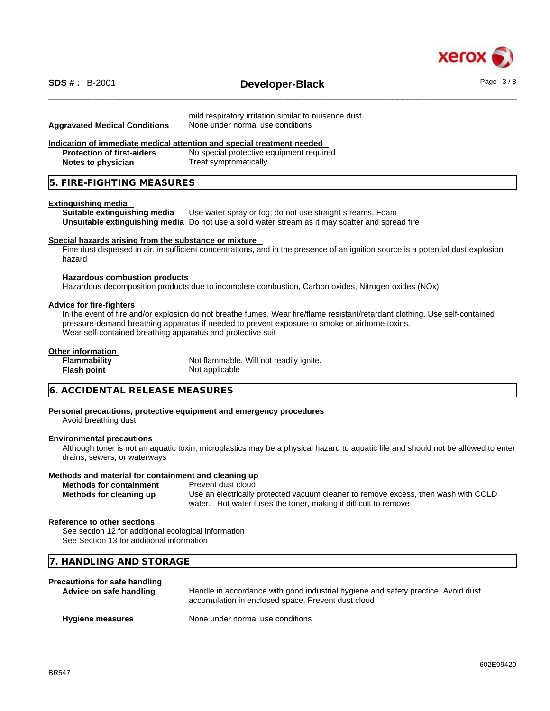

# \_\_\_\_\_\_\_\_\_\_\_\_\_\_\_\_\_\_\_\_\_\_\_\_\_\_\_\_\_\_\_\_\_\_\_\_\_\_\_\_\_\_\_\_\_\_\_\_\_\_\_\_\_\_\_\_\_\_\_\_\_\_\_\_\_\_\_\_\_\_\_\_\_\_\_\_\_\_\_\_\_\_\_\_\_\_\_\_\_\_\_\_\_\_ **SDS # :** B-2001 **Developer-Black** Page 3 / 8

| <b>Aggravated Medical Conditions</b>                                                              | mild respiratory irritation similar to nuisance dust.<br>None under normal use conditions                                                                                                                                      |
|---------------------------------------------------------------------------------------------------|--------------------------------------------------------------------------------------------------------------------------------------------------------------------------------------------------------------------------------|
|                                                                                                   | Indication of immediate medical attention and special treatment needed                                                                                                                                                         |
| <b>Protection of first-aiders</b>                                                                 | No special protective equipment required                                                                                                                                                                                       |
| <b>Notes to physician</b>                                                                         | Treat symptomatically                                                                                                                                                                                                          |
| 5. FIRE-FIGHTING MEASURES                                                                         |                                                                                                                                                                                                                                |
| <b>Extinguishing media</b><br>Suitable extinguishing media                                        | Use water spray or fog; do not use straight streams, Foam<br>Unsuitable extinguishing media Do not use a solid water stream as it may scatter and spread fire                                                                  |
| Special hazards arising from the substance or mixture<br>hazard                                   | Fine dust dispersed in air, in sufficient concentrations, and in the presence of an ignition source is a potential dust explosion                                                                                              |
| <b>Hazardous combustion products</b>                                                              | Hazardous decomposition products due to incomplete combustion, Carbon oxides, Nitrogen oxides (NOx)                                                                                                                            |
| <b>Advice for fire-fighters</b><br>Wear self-contained breathing apparatus and protective suit    | In the event of fire and/or explosion do not breathe fumes. Wear fire/flame resistant/retardant clothing. Use self-contained<br>pressure-demand breathing apparatus if needed to prevent exposure to smoke or airborne toxins. |
| Other information                                                                                 |                                                                                                                                                                                                                                |
| <b>Flammability</b><br><b>Flash point</b>                                                         | Not flammable. Will not readily ignite.<br>Not applicable                                                                                                                                                                      |
| 6. ACCIDENTAL RELEASE MEASURES                                                                    |                                                                                                                                                                                                                                |
| Avoid breathing dust                                                                              | Personal precautions, protective equipment and emergency procedures                                                                                                                                                            |
| <b>Environmental precautions</b>                                                                  | Although toner is not an aquatic toxin, microplastics may be a physical hazard to aquatic life and should not be allowed to enter                                                                                              |
| drains, sewers, or waterways                                                                      |                                                                                                                                                                                                                                |
| Methods and material for containment and cleaning up                                              |                                                                                                                                                                                                                                |
| <b>Methods for containment</b><br>Methods for cleaning up                                         | Prevent dust cloud<br>Use an electrically protected vacuum cleaner to remove excess, then wash with COLD<br>water. Hot water fuses the toner, making it difficult to remove                                                    |
| <b>Reference to other sections</b>                                                                |                                                                                                                                                                                                                                |
| See section 12 for additional ecological information<br>See Section 13 for additional information |                                                                                                                                                                                                                                |
| 7. HANDLING AND STORAGE                                                                           |                                                                                                                                                                                                                                |
| <b>Precautions for safe handling</b>                                                              |                                                                                                                                                                                                                                |
| Advice on safe handling                                                                           | Handle in accordance with good industrial hygiene and safety practice, Avoid dust<br>accumulation in enclosed space, Prevent dust cloud                                                                                        |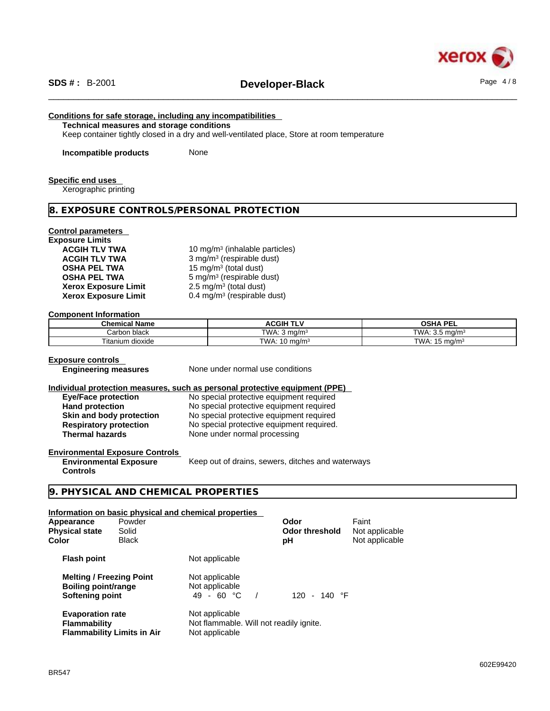

# \_\_\_\_\_\_\_\_\_\_\_\_\_\_\_\_\_\_\_\_\_\_\_\_\_\_\_\_\_\_\_\_\_\_\_\_\_\_\_\_\_\_\_\_\_\_\_\_\_\_\_\_\_\_\_\_\_\_\_\_\_\_\_\_\_\_\_\_\_\_\_\_\_\_\_\_\_\_\_\_\_\_\_\_\_\_\_\_\_\_\_\_\_\_ **SDS # :** B-2001 **Developer-Black** Page 4 / 8

# **Conditions for safe storage, including any incompatibilities**

**Technical measures and storage conditions**

Keep container tightly closed in a dry and well-ventilated place, Store at room temperature

**Incompatible products** None

#### **Specific end uses**

Xerographic printing

### **8. EXPOSURE CONTROLS/PERSONAL PROTECTION**

#### **Control parameters**

| <b>Exposure Limits</b>      |                                            |
|-----------------------------|--------------------------------------------|
| <b>ACGIH TLV TWA</b>        | 10 mg/m <sup>3</sup> (inhalable particles) |
| <b>ACGIH TLV TWA</b>        | 3 mg/m <sup>3</sup> (respirable dust)      |
| <b>OSHA PEL TWA</b>         | 15 mg/m <sup>3</sup> (total dust)          |
| <b>OSHA PEL TWA</b>         | $5 \text{ mg/m}^3$ (respirable dust)       |
| <b>Xerox Exposure Limit</b> | 2.5 mg/m <sup>3</sup> (total dust)         |
| <b>Xerox Exposure Limit</b> | 0.4 mg/m <sup>3</sup> (respirable dust)    |

#### **Component Information**

| <b>Chemical Name</b> | <b>ACGIH TLV</b>          | OSHA<br><b>DEI</b><br>--          |
|----------------------|---------------------------|-----------------------------------|
| ı black<br>∵arbon    | TWA.<br>ma/m <sup>3</sup> | TWA:<br>ma/m <sup>3</sup><br>ັບເປ |
| Titanium dioxide     | TWA.<br>10 mg/m $3$       | TWA.<br>15.<br>.ാ mɑ/mೈ           |

#### **Exposure controls**

**Engineering measures** None under normal use conditions

#### **Individual protection measures, such as personal protective equipment (PPE)**

| <b>Eye/Face protection</b>    | No special protective equipment required  |
|-------------------------------|-------------------------------------------|
| <b>Hand protection</b>        | No special protective equipment required  |
| Skin and body protection      | No special protective equipment required  |
| <b>Respiratory protection</b> | No special protective equipment required. |
| <b>Thermal hazards</b>        | None under normal processing              |

#### **Environmental Exposure Controls**

**Environmental Exposure Controls**  Keep out of drains, sewers, ditches and waterways

## **9. PHYSICAL AND CHEMICAL PROPERTIES**

#### **Information on basic physical and chemical properties**

| Appearance<br><b>Physical state</b><br>Color                                     | Powder<br>Solid<br><b>Black</b>   |                                                                             | Odor<br><b>Odor threshold</b><br>рH | Faint<br>Not applicable<br>Not applicable |
|----------------------------------------------------------------------------------|-----------------------------------|-----------------------------------------------------------------------------|-------------------------------------|-------------------------------------------|
| <b>Flash point</b>                                                               |                                   | Not applicable                                                              |                                     |                                           |
| <b>Melting / Freezing Point</b><br><b>Boiling point/range</b><br>Softening point |                                   | Not applicable<br>Not applicable<br>49 - 60 $^{\circ}$ C                    | 120 - 140 °F                        |                                           |
| <b>Evaporation rate</b><br><b>Flammability</b>                                   | <b>Flammability Limits in Air</b> | Not applicable<br>Not flammable. Will not readily ignite.<br>Not applicable |                                     |                                           |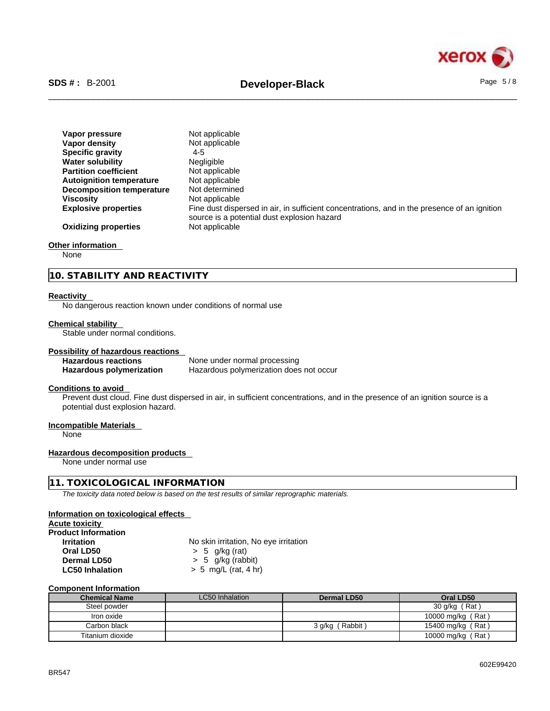

| Vapor pressure                   | Not applicable                                                                                                                              |
|----------------------------------|---------------------------------------------------------------------------------------------------------------------------------------------|
| Vapor density                    | Not applicable                                                                                                                              |
| <b>Specific gravity</b>          | 4-5                                                                                                                                         |
| <b>Water solubility</b>          | <b>Negligible</b>                                                                                                                           |
| <b>Partition coefficient</b>     | Not applicable                                                                                                                              |
| <b>Autoignition temperature</b>  | Not applicable                                                                                                                              |
| <b>Decomposition temperature</b> | Not determined                                                                                                                              |
| <b>Viscosity</b>                 | Not applicable                                                                                                                              |
| <b>Explosive properties</b>      | Fine dust dispersed in air, in sufficient concentrations, and in the presence of an ignition<br>source is a potential dust explosion hazard |
| <b>Oxidizing properties</b>      | Not applicable                                                                                                                              |

#### **Other information**

None

**10. STABILITY AND REACTIVITY** 

#### **Reactivity**

No dangerous reaction known under conditions of normal use

#### **Chemical stability**

Stable under normal conditions.

# **Possibility of hazardous reactions**

**Hazardous reactions**<br> **Hazardous polymerization**<br>
Hazardous polymerization<br>
Hazardous polymerization does **Hazardous polymerization does not occur** 

#### **Conditions to avoid**

Prevent dust cloud. Fine dust dispersed in air, in sufficient concentrations, and in the presence of an ignition source is a potential dust explosion hazard.

# **Incompatible Materials**

None

#### **Hazardous decomposition products**

None under normal use

#### **11. TOXICOLOGICAL INFORMATION**

*The toxicity data noted below is based on the test results of similar reprographic materials.* 

#### **Information on toxicological effects**

**Acute toxicity**

| <b>Product Information</b> |           |
|----------------------------|-----------|
| <b>Irritation</b>          | No skin i |
| Oral I D50                 | 55 a      |

**Irritation** No skin irritation, No eye irritation **Oral LD50** > 5 g/kg (rat) **Dermal LD50**  $\rightarrow$  5 g/kg (rabbit)<br> **LC50 Inhalation**  $\rightarrow$  5 mg/L (rat. 4 h) **LC50 Inhalation** > 5 mg/L (rat, 4 hr)

#### **Component Information**

| <b>Chemical Name</b> | LC50 Inhalation | Dermal LD50     | Oral LD50         |
|----------------------|-----------------|-----------------|-------------------|
| Steel powder         |                 |                 | 30 g/kg (Rat)     |
| Iron oxide           |                 |                 | 10000 mg/kg (Rat) |
| Carbon black         |                 | 3 g/kg (Rabbit) | 15400 mg/kg (Rat) |
| Titanium dioxide     |                 |                 | 10000 mg/kg (Rat) |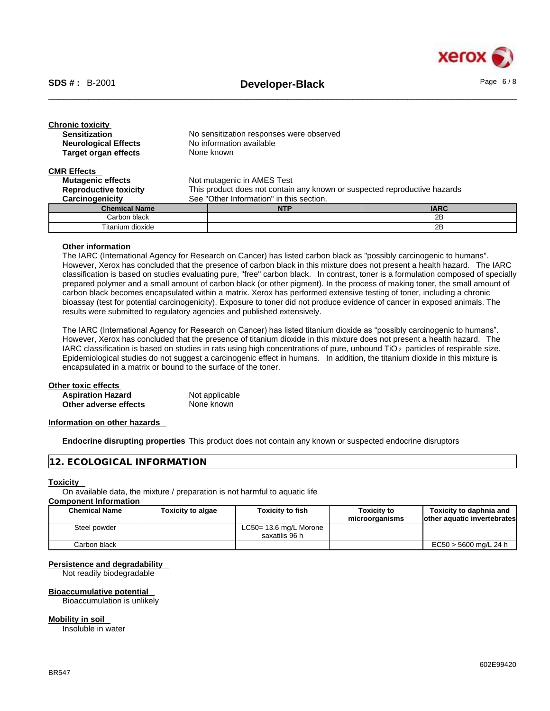

| <b>Chronic toxicity</b><br><b>Sensitization</b><br><b>Neurological Effects</b><br><b>Target organ effects</b> |                                                                           | No sensitization responses were observed<br>No information available<br>None known |             |  |
|---------------------------------------------------------------------------------------------------------------|---------------------------------------------------------------------------|------------------------------------------------------------------------------------|-------------|--|
| <b>CMR Effects</b>                                                                                            |                                                                           |                                                                                    |             |  |
| <b>Mutagenic effects</b>                                                                                      |                                                                           | Not mutagenic in AMES Test                                                         |             |  |
| <b>Reproductive toxicity</b>                                                                                  | This product does not contain any known or suspected reproductive hazards |                                                                                    |             |  |
| Carcinogenicity                                                                                               | See "Other Information" in this section.                                  |                                                                                    |             |  |
| <b>Chemical Name</b>                                                                                          |                                                                           | <b>NTP</b>                                                                         | <b>IARC</b> |  |
| Carbon black                                                                                                  |                                                                           |                                                                                    | 2B          |  |
| Titanium dioxide                                                                                              |                                                                           |                                                                                    | 2B          |  |

#### **Other information**

The IARC (International Agency for Research on Cancer) has listed carbon black as "possibly carcinogenic to humans". However, Xerox has concluded that the presence of carbon black in this mixture does not present a health hazard. The IARC classification is based on studies evaluating pure, "free" carbon black. In contrast, toner is a formulation composed of specially prepared polymer and a small amount of carbon black (or other pigment). In the process of making toner, the small amount of carbon black becomes encapsulated within a matrix. Xerox has performed extensive testing of toner, including a chronic bioassay (test for potential carcinogenicity). Exposure to toner did not produce evidence of cancer in exposed animals. The results were submitted to regulatory agencies and published extensively.

The IARC (International Agency for Research on Cancer) has listed titanium dioxide as "possibly carcinogenic to humans". However, Xerox has concluded that the presence of titanium dioxide in this mixture does not present a health hazard. The IARC classification is based on studies in rats using high concentrations of pure, unbound TiO 2 particles of respirable size. Epidemiological studies do not suggest a carcinogenic effect in humans. In addition, the titanium dioxide in this mixture is encapsulated in a matrix or bound to the surface of the toner.

#### **Other toxic effects**

| .                        |                |
|--------------------------|----------------|
| <b>Aspiration Hazard</b> | Not applicable |
| Other adverse effects    | None known     |

#### **Information on other hazards**

**Endocrine disrupting properties** This product does not contain any known or suspected endocrine disruptors

#### **12. ECOLOGICAL INFORMATION**

#### **Toxicity**

On available data, the mixture / preparation is not harmful to aquatic life

### **Component Information**

| <b>Chemical Name</b> | Toxicity to algae | <b>Toxicity to fish</b> | Toxicity to    | Toxicity to daphnia and     |
|----------------------|-------------------|-------------------------|----------------|-----------------------------|
|                      |                   |                         | microorganisms | other aquatic invertebrates |
| Steel powder         |                   | LC50= 13.6 mg/L Morone  |                |                             |
|                      |                   | saxatilis 96 h          |                |                             |
| Carbon black         |                   |                         |                | EC50 > 5600 mg/L 24 h       |

## **Persistence and degradability**

Not readily biodegradable

### **Bioaccumulative potential**

Bioaccumulation is unlikely

#### **Mobility in soil**

Insoluble in water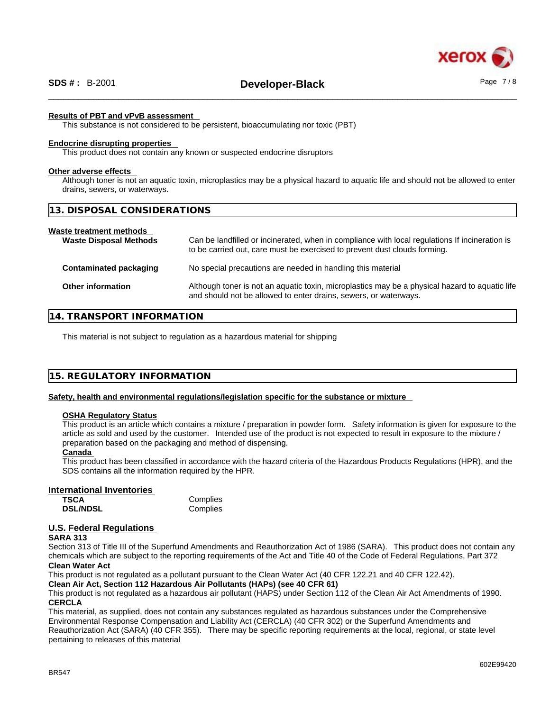

# \_\_\_\_\_\_\_\_\_\_\_\_\_\_\_\_\_\_\_\_\_\_\_\_\_\_\_\_\_\_\_\_\_\_\_\_\_\_\_\_\_\_\_\_\_\_\_\_\_\_\_\_\_\_\_\_\_\_\_\_\_\_\_\_\_\_\_\_\_\_\_\_\_\_\_\_\_\_\_\_\_\_\_\_\_\_\_\_\_\_\_\_\_\_ **SDS # :** B-2001 **Developer-Black** Page 7 / 8

#### **Results of PBT and vPvB assessment**

This substance is not considered to be persistent, bioaccumulating nor toxic (PBT)

#### **Endocrine disrupting properties**

This product does not contain any known or suspected endocrine disruptors

#### **Other adverse effects**

Although toner is not an aquatic toxin, microplastics may be a physical hazard to aquatic life and should not be allowed to enter drains, sewers, or waterways.

| 13. DISPOSAL CONSIDERATIONS                              |                                                                                                                                                                             |
|----------------------------------------------------------|-----------------------------------------------------------------------------------------------------------------------------------------------------------------------------|
| Waste treatment methods<br><b>Waste Disposal Methods</b> | Can be landfilled or incinerated, when in compliance with local regulations If incineration is<br>to be carried out, care must be exercised to prevent dust clouds forming. |
| Contaminated packaging                                   | No special precautions are needed in handling this material                                                                                                                 |
| <b>Other information</b>                                 | Although toner is not an aquatic toxin, microplastics may be a physical hazard to aquatic life<br>and should not be allowed to enter drains, sewers, or waterways.          |

#### **14. TRANSPORT INFORMATION**

This material is not subject to regulation as a hazardous material for shipping

#### **15. REGULATORY INFORMATION**

#### **Safety, health and environmental regulations/legislation specific for the substance or mixture**

#### **OSHA Regulatory Status**

This product is an article which contains a mixture / preparation in powder form. Safety information is given for exposure to the article as sold and used by the customer. Intended use of the product is not expected to result in exposure to the mixture / preparation based on the packaging and method of dispensing.

#### **Canada**

This product has been classified in accordance with the hazard criteria of the Hazardous Products Regulations (HPR), and the SDS contains all the information required by the HPR.

#### **International Inventories**

| TSCA            | Complies |
|-----------------|----------|
| <b>DSL/NDSL</b> | Complies |

#### **U.S. Federal Regulations**

#### **SARA 313**

Section 313 of Title III of the Superfund Amendments and Reauthorization Act of 1986 (SARA). This product does not contain any chemicals which are subject to the reporting requirements of the Act and Title 40 of the Code of Federal Regulations, Part 372 **Clean Water Act**

This product is not regulated as a pollutant pursuant to the Clean Water Act (40 CFR 122.21 and 40 CFR 122.42).

**Clean Air Act,Section 112 Hazardous Air Pollutants (HAPs) (see 40 CFR 61)**

This product is not regulated as a hazardous air pollutant (HAPS) under Section 112 of the Clean Air Act Amendments of 1990. **CERCLA**

This material, as supplied, does not contain any substances regulated as hazardous substances under the Comprehensive Environmental Response Compensation and Liability Act (CERCLA) (40 CFR 302) or the Superfund Amendments and Reauthorization Act (SARA) (40 CFR 355). There may be specific reporting requirements at the local, regional, or state level pertaining to releases of this material